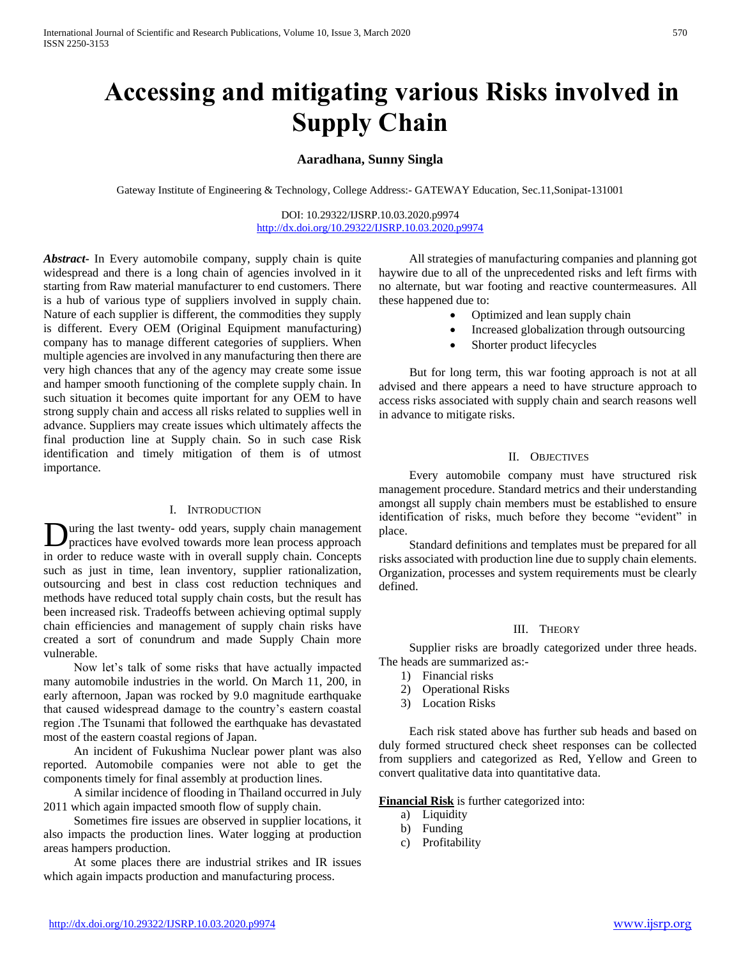# **Accessing and mitigating various Risks involved in Supply Chain**

## **Aaradhana, Sunny Singla**

Gateway Institute of Engineering & Technology, College Address:- GATEWAY Education, Sec.11,Sonipat-131001

DOI: 10.29322/IJSRP.10.03.2020.p9974 <http://dx.doi.org/10.29322/IJSRP.10.03.2020.p9974>

*Abstract***-** In Every automobile company, supply chain is quite widespread and there is a long chain of agencies involved in it starting from Raw material manufacturer to end customers. There is a hub of various type of suppliers involved in supply chain. Nature of each supplier is different, the commodities they supply is different. Every OEM (Original Equipment manufacturing) company has to manage different categories of suppliers. When multiple agencies are involved in any manufacturing then there are very high chances that any of the agency may create some issue and hamper smooth functioning of the complete supply chain. In such situation it becomes quite important for any OEM to have strong supply chain and access all risks related to supplies well in advance. Suppliers may create issues which ultimately affects the final production line at Supply chain. So in such case Risk identification and timely mitigation of them is of utmost importance.

#### I. INTRODUCTION

uring the last twenty- odd years, supply chain management practices have evolved towards more lean process approach in order to reduce waste with in overall supply chain. Concepts such as just in time, lean inventory, supplier rationalization, outsourcing and best in class cost reduction techniques and methods have reduced total supply chain costs, but the result has been increased risk. Tradeoffs between achieving optimal supply chain efficiencies and management of supply chain risks have created a sort of conundrum and made Supply Chain more vulnerable. D

 Now let's talk of some risks that have actually impacted many automobile industries in the world. On March 11, 200, in early afternoon, Japan was rocked by 9.0 magnitude earthquake that caused widespread damage to the country's eastern coastal region .The Tsunami that followed the earthquake has devastated most of the eastern coastal regions of Japan.

 An incident of Fukushima Nuclear power plant was also reported. Automobile companies were not able to get the components timely for final assembly at production lines.

 A similar incidence of flooding in Thailand occurred in July 2011 which again impacted smooth flow of supply chain.

 Sometimes fire issues are observed in supplier locations, it also impacts the production lines. Water logging at production areas hampers production.

 At some places there are industrial strikes and IR issues which again impacts production and manufacturing process.

 All strategies of manufacturing companies and planning got haywire due to all of the unprecedented risks and left firms with no alternate, but war footing and reactive countermeasures. All these happened due to:

- Optimized and lean supply chain
	- Increased globalization through outsourcing
	- Shorter product lifecycles

 But for long term, this war footing approach is not at all advised and there appears a need to have structure approach to access risks associated with supply chain and search reasons well in advance to mitigate risks.

#### II. OBJECTIVES

 Every automobile company must have structured risk management procedure. Standard metrics and their understanding amongst all supply chain members must be established to ensure identification of risks, much before they become "evident" in place.

 Standard definitions and templates must be prepared for all risks associated with production line due to supply chain elements. Organization, processes and system requirements must be clearly defined.

#### III. THEORY

 Supplier risks are broadly categorized under three heads. The heads are summarized as:-

- 1) Financial risks
- 2) Operational Risks
- 3) Location Risks

 Each risk stated above has further sub heads and based on duly formed structured check sheet responses can be collected from suppliers and categorized as Red, Yellow and Green to convert qualitative data into quantitative data.

**Financial Risk** is further categorized into:

- a) Liquidity
- b) Funding
- c) Profitability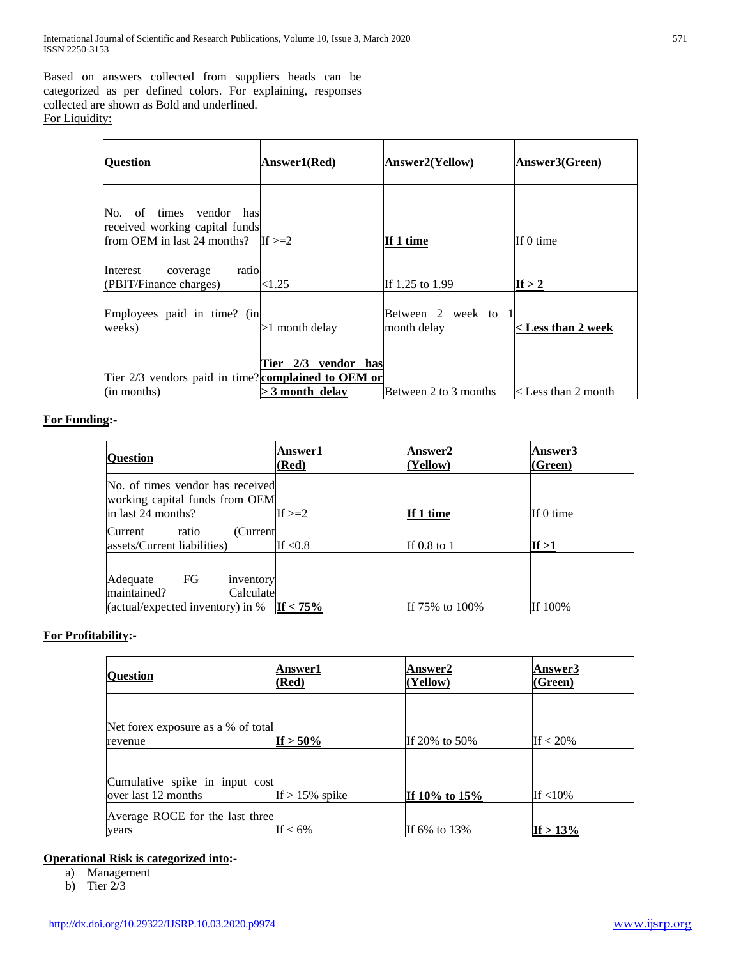Based on answers collected from suppliers heads can be categorized as per defined colors. For explaining, responses collected are shown as Bold and underlined. For Liquidity:

| <b>Ouestion</b>                                                                          | Answer1(Red)                             | Answer2(Yellow)                    | Answer3(Green)              |
|------------------------------------------------------------------------------------------|------------------------------------------|------------------------------------|-----------------------------|
| No, of times vendor has<br>received working capital funds<br>from OEM in last 24 months? | If $\geq=2$                              | If 1 time                          | If 0 time                   |
| Interest<br>ratio<br>coverage<br>(PBIT/Finance charges)                                  | $<$ 1.25 $\,$                            | If 1.25 to 1.99                    | If $> 2$                    |
| Employees paid in time? (in<br>weeks)                                                    | $>1$ month delay                         | Between 2 week to 1<br>month delay | < Less than 2 week          |
| Tier $2/3$ vendors paid in time? complained to OEM or<br>(in months)                     | Tier 2/3 vendor has<br>$>$ 3 month delay | Between 2 to 3 months              | $\langle$ Less than 2 month |

## **For Funding:-**

| <b>Question</b>                                                                             | <b>Answer1</b><br>(Red) | Answer2<br>(Yellow) | Answer3<br>(Green) |
|---------------------------------------------------------------------------------------------|-------------------------|---------------------|--------------------|
| No. of times vendor has received<br>working capital funds from OEM<br>in last 24 months?    | If $>=2$                | If 1 time           | If 0 time          |
| Current.<br>ratio<br>(Current<br>assets/Current liabilities)                                | If $<\!\!0.8$           | If $0.8$ to 1       | If >1              |
| FG<br>Adequate<br>inventory<br>maintained?<br>Calculate<br>(actual/expected inventory) in % | If $< 75\%$             | If 75% to 100%      | If 100%            |

## **For Profitability:-**

| <b>Question</b>                    | <b>Answer1</b><br>(Red) | <b>Answer2</b><br>(Yellow) | <b>Answer3</b><br>(Green) |
|------------------------------------|-------------------------|----------------------------|---------------------------|
|                                    |                         |                            |                           |
| Net forex exposure as a % of total |                         |                            |                           |
| revenue                            | If $> 50\%$             | If 20% to 50%              | If $<$ 20%                |
|                                    |                         |                            |                           |
| Cumulative spike in input cost     |                         |                            |                           |
| over last 12 months                | If $> 15\%$ spike       | If 10% to 15%              | If $<$ 10%                |
| Average ROCE for the last three    |                         |                            |                           |
| years                              | If $< 6\%$              | If 6% to 13%               | If $> 13\%$               |

## **Operational Risk is categorized into:-**

a) Management

b) Tier  $2/3$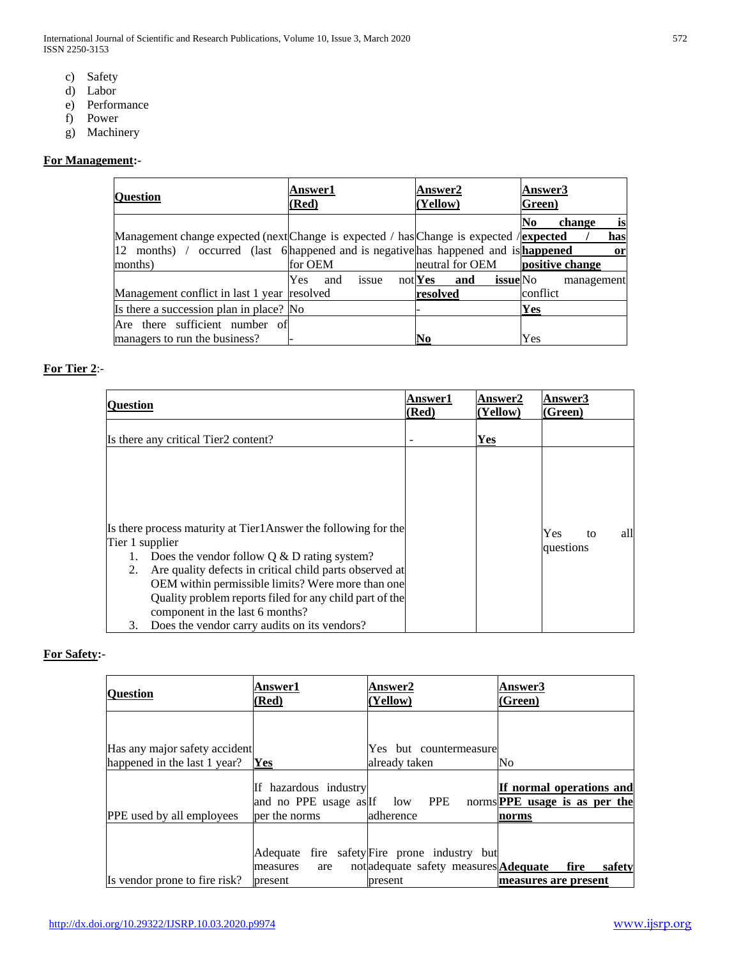- c) Safety
- d) Labor
- e) Performance
- f) Power
- g) Machinery

## **For Management:-**

| <b>Ouestion</b>                                                                            | <b>Answer1</b><br>(Red) |       | <b>Answer2</b><br>(Yellow) |     |                 | Answer3<br>Green) |            |     |
|--------------------------------------------------------------------------------------------|-------------------------|-------|----------------------------|-----|-----------------|-------------------|------------|-----|
|                                                                                            |                         |       |                            |     |                 | No                | change     | is  |
| Management change expected (next Change is expected / has Change is expected / expected    |                         |       |                            |     |                 |                   |            | has |
| 12 months) / occurred (last 6 happened and is negative has happened and is <b>happened</b> |                         |       |                            |     |                 |                   |            | or  |
| months)                                                                                    | for OEM                 |       | neutral for OEM            |     |                 | positive change   |            |     |
|                                                                                            | Yes<br>and              | issue | $not$ Yes                  | and | <b>issue</b> No |                   | management |     |
| Management conflict in last 1 year resolved                                                |                         |       | resolved                   |     |                 | conflict          |            |     |
| Is there a succession plan in place? No                                                    |                         |       |                            |     |                 | Yes               |            |     |
| Are there sufficient number of                                                             |                         |       |                            |     |                 |                   |            |     |
| managers to run the business?                                                              |                         |       | N <sub>0</sub>             |     |                 | Yes               |            |     |

## **For Tier 2**:-

| <b>Ouestion</b> |                                                                                            | <b>Answer1</b><br>(Red) | <b>Answer2</b><br>(Yellow) | <b>Answer3</b><br>(Green) |
|-----------------|--------------------------------------------------------------------------------------------|-------------------------|----------------------------|---------------------------|
|                 | Is there any critical Tier2 content?                                                       |                         | Yes                        |                           |
|                 |                                                                                            |                         |                            |                           |
|                 |                                                                                            |                         |                            |                           |
| Tier 1 supplier | Is there process maturity at Tier1Answer the following for the                             |                         |                            | Yes<br>all<br>to          |
|                 | Does the vendor follow $Q & D$ rating system?                                              |                         |                            | questions                 |
| 2.              | Are quality defects in critical child parts observed at                                    |                         |                            |                           |
|                 | OEM within permissible limits? Were more than one                                          |                         |                            |                           |
|                 | Quality problem reports filed for any child part of the<br>component in the last 6 months? |                         |                            |                           |
| 3.              | Does the vendor carry audits on its vendors?                                               |                         |                            |                           |

## **For Safety:-**

| <b>Ouestion</b>                  | <b>Answer1</b><br>(Red)                | <b>Answer2</b><br>(Yellow)                                                                              | Answer3<br>(Green)                                                                                       |
|----------------------------------|----------------------------------------|---------------------------------------------------------------------------------------------------------|----------------------------------------------------------------------------------------------------------|
|                                  |                                        |                                                                                                         |                                                                                                          |
| Has any major safety accident    |                                        | Yes but countermeasure                                                                                  |                                                                                                          |
| happened in the last 1 year?     | Yes                                    | already taken                                                                                           | No                                                                                                       |
| <b>PPE</b> used by all employees | If hazardous industry<br>per the norms | adherence                                                                                               | If normal operations and<br>and no PPE usage as If low PPE norms <b>PPE</b> usage is as per the<br>norms |
| Is vendor prone to fire risk?    | measures<br>are<br>present             | Adequate fire safety Fire prone industry but<br>not adequate safety measures <b>Adequate</b><br>present | fire<br>safety<br>measures are present                                                                   |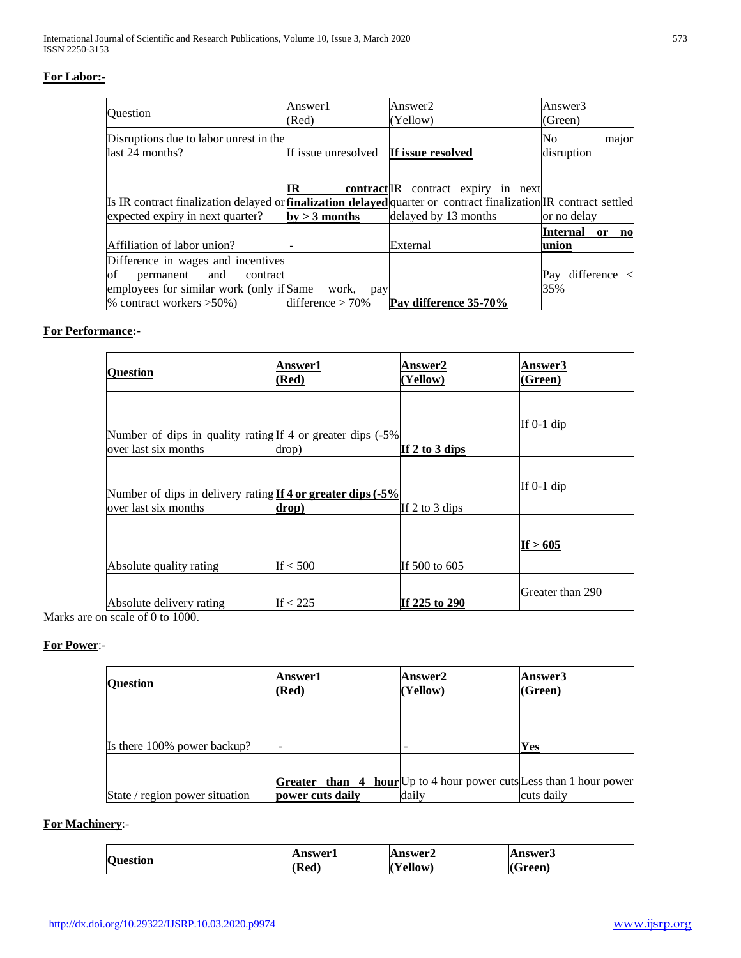## **For Labor:-**

| Question                                                                                                                                                | Answer1<br>(Red)                             | Answer2<br>(Yellow)                 | Answer3<br>(Green)                                                 |
|---------------------------------------------------------------------------------------------------------------------------------------------------------|----------------------------------------------|-------------------------------------|--------------------------------------------------------------------|
| Disruptions due to labor unrest in the<br>last 24 months?                                                                                               | If issue unresolved <b>If issue resolved</b> |                                     | N <sub>0</sub><br>major<br>disruption                              |
| Is IR contract finalization delayed or <b>finalization delayed</b> quarter or contract finalization IR contract settled                                 | IR                                           | contract IR contract expiry in next |                                                                    |
| expected expiry in next quarter?                                                                                                                        | $by > 3$ months                              | delayed by 13 months                | or no delay<br>Internal<br><sub>or</sub><br>$\mathbf{n}\mathbf{o}$ |
| Affiliation of labor union?                                                                                                                             |                                              | External                            | lunion                                                             |
| Difference in wages and incentives<br>0f<br>permanent and<br>contract<br>employees for similar work (only if Same work,<br>% contract workers $>50\%$ ) | pay<br>difference $> 70\%$                   | Pay difference 35-70%               | Pay difference $\langle$<br>35%                                    |

## **For Performance:-**

| <b>Question</b>                                                                      | <b>Answer1</b><br>(Red) | <b>Answer2</b><br>(Yellow) | <b>Answer3</b><br>(Green) |
|--------------------------------------------------------------------------------------|-------------------------|----------------------------|---------------------------|
| Number of dips in quality rating If 4 or greater dips (-5%)<br>lover last six months | drop)                   | If 2 to 3 dips             | If $0-1$ dip              |
| Number of dips in delivery rating If 4 or greater dips (-5%<br>lover last six months | drop)                   | If 2 to 3 dips             | If $0-1$ dip              |
| Absolute quality rating                                                              | If $< 500$              | If 500 to 605              | If $>605$                 |
| Absolute delivery rating                                                             | If $<$ 225              | If 225 to 290              | Greater than 290          |

Marks are on scale of 0 to 1000.

#### **For Power**:-

| <b>Ouestion</b>                | <b>Answer1</b><br>(Red)                                                                       | Answer2<br>(Yellow) | Answer3<br>(Green) |
|--------------------------------|-----------------------------------------------------------------------------------------------|---------------------|--------------------|
|                                |                                                                                               |                     |                    |
| Is there 100% power backup?    |                                                                                               |                     | Yes                |
| State / region power situation | <b>Greater</b> than 4 hour Up to 4 hour power cuts Less than 1 hour power<br>power cuts daily | daily               | cuts daily         |

#### **For Machinery**:-

| <b>Ouestion</b> | Answer1 | <b>Answer2</b> | Answer3    |
|-----------------|---------|----------------|------------|
|                 | (Red)   | ellow          | и<br>Green |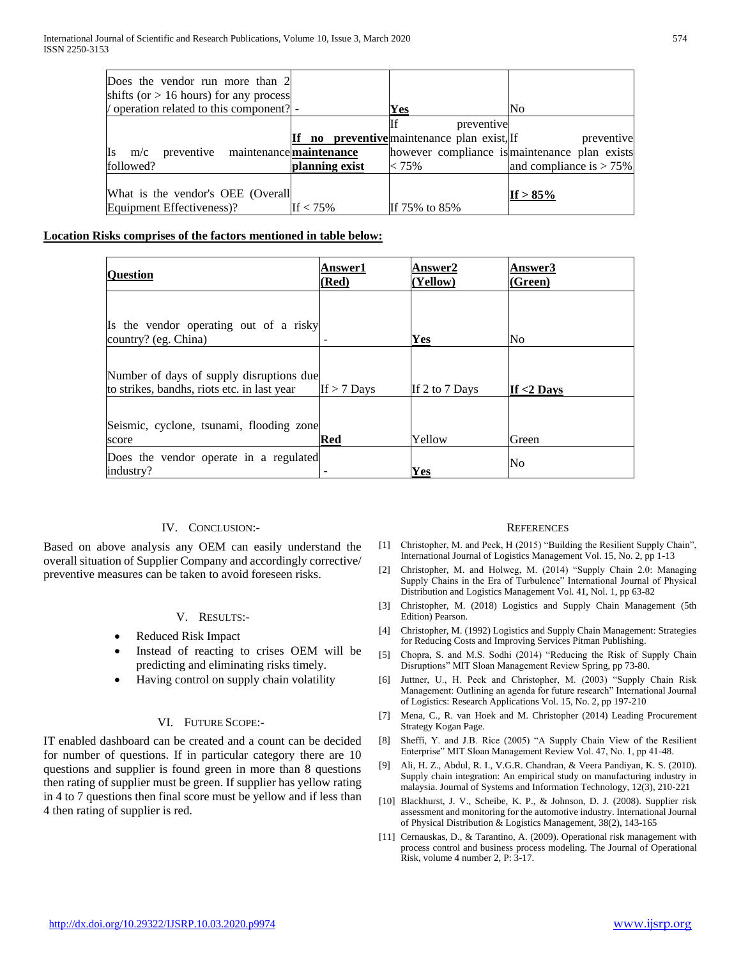| Does the vendor run more than 2<br>shifts (or $> 16$ hours) for any process |                |                                                 |                                               |
|-----------------------------------------------------------------------------|----------------|-------------------------------------------------|-----------------------------------------------|
| / operation related to this component?                                      |                | Yes                                             | No                                            |
|                                                                             |                |                                                 |                                               |
|                                                                             |                | preventive                                      |                                               |
|                                                                             |                | <b>no preventive</b> maintenance plan exist, If | preventive                                    |
| preventive maintenance maintenance<br>m/c                                   |                |                                                 | however compliance is maintenance plan exists |
| followed?                                                                   | planning exist | < 75%                                           | and compliance is $> 75\%$                    |
|                                                                             |                |                                                 |                                               |
| What is the vendor's OEE (Overall                                           |                |                                                 | If $> 85\%$                                   |
| Equipment Effectiveness)?                                                   | If $< 75\%$    | If 75% to 85%                                   |                                               |

## **Location Risks comprises of the factors mentioned in table below:**

| <b>Question</b>                                                                         | <b>Answer1</b><br>(Red) | <b>Answer2</b><br>(Yellow) | Answer3<br>(Green) |
|-----------------------------------------------------------------------------------------|-------------------------|----------------------------|--------------------|
| Is the vendor operating out of a risky<br>country? (eg. China)                          |                         | Yes                        | No                 |
| Number of days of supply disruptions due<br>to strikes, bandhs, riots etc. in last year | If $>$ 7 Days           | If 2 to 7 Days             | If $<$ 2 Days      |
| Seismic, cyclone, tsunami, flooding zone<br>score                                       | Red                     | Yellow                     | Green              |
| Does the vendor operate in a regulated<br>industry?                                     |                         | Yes                        | No                 |

#### IV. CONCLUSION:-

Based on above analysis any OEM can easily understand the overall situation of Supplier Company and accordingly corrective/ preventive measures can be taken to avoid foreseen risks.

#### V. RESULTS:-

- Reduced Risk Impact
- Instead of reacting to crises OEM will be predicting and eliminating risks timely.
- Having control on supply chain volatility

#### VI. FUTURE SCOPE:-

IT enabled dashboard can be created and a count can be decided for number of questions. If in particular category there are 10 questions and supplier is found green in more than 8 questions then rating of supplier must be green. If supplier has yellow rating in 4 to 7 questions then final score must be yellow and if less than 4 then rating of supplier is red.

#### **REFERENCES**

- [1] Christopher, M. and Peck, H (2015) "Building the Resilient Supply Chain", International Journal of Logistics Management Vol. 15, No. 2, pp 1-13
- [2] Christopher, M. and Holweg, M. (2014) "Supply Chain 2.0: Managing Supply Chains in the Era of Turbulence" International Journal of Physical Distribution and Logistics Management Vol. 41, Nol. 1, pp 63-82
- [3] Christopher, M. (2018) Logistics and Supply Chain Management (5th Edition) Pearson.
- [4] Christopher, M. (1992) Logistics and Supply Chain Management: Strategies for Reducing Costs and Improving Services Pitman Publishing.
- [5] Chopra, S. and M.S. Sodhi (2014) "Reducing the Risk of Supply Chain Disruptions" MIT Sloan Management Review Spring, pp 73-80.
- [6] Juttner, U., H. Peck and Christopher, M. (2003) "Supply Chain Risk Management: Outlining an agenda for future research" International Journal of Logistics: Research Applications Vol. 15, No. 2, pp 197-210
- [7] Mena, C., R. van Hoek and M. Christopher (2014) Leading Procurement Strategy Kogan Page.
- [8] Sheffi, Y. and J.B. Rice (2005) "A Supply Chain View of the Resilient Enterprise" MIT Sloan Management Review Vol. 47, No. 1, pp 41-48.
- [9] Ali, H. Z., Abdul, R. I., V.G.R. Chandran, & Veera Pandiyan, K. S. (2010). Supply chain integration: An empirical study on manufacturing industry in malaysia. Journal of Systems and Information Technology, 12(3), 210-221
- [10] Blackhurst, J. V., Scheibe, K. P., & Johnson, D. J. (2008). Supplier risk assessment and monitoring for the automotive industry. International Journal of Physical Distribution & Logistics Management, 38(2), 143-165
- [11] Cernauskas, D., & Tarantino, A. (2009). Operational risk management with process control and business process modeling. The Journal of Operational Risk, volume 4 number 2, P: 3-17.